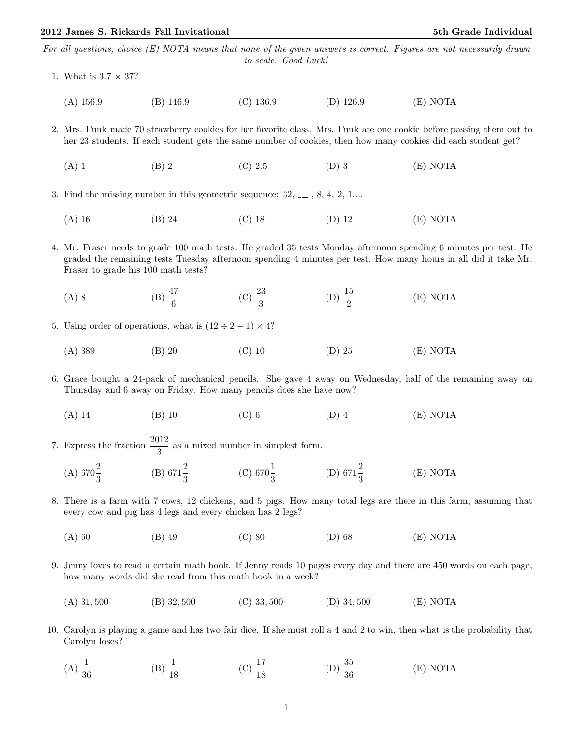For all questions, choice (E) NOTA means that none of the given answers is correct. Figures are not necessarily drawn to scale. Good Luck!

- 1. What is  $3.7 \times 37$ ?
	- (A) 156.9 (B) 146.9 (C) 136.9 (D) 126.9 (E) NOTA

2. Mrs. Funk made 70 strawberry cookies for her favorite class. Mrs. Funk ate one cookie before passing them out to her 23 students. If each student gets the same number of cookies, then how many cookies did each student get?

- (A) 1 (B) 2 (C) 2.5 (D) 3 (E) NOTA
- 3. Find the missing number in this geometric sequence:  $32, \ldots, 8, 4, 2, 1 \ldots$ 
	- (A) 16 (B) 24 (C) 18 (D) 12 (E) NOTA
- 4. Mr. Fraser needs to grade 100 math tests. He graded 35 tests Monday afternoon spending 6 minutes per test. He graded the remaining tests Tuesday afternoon spending 4 minutes per test. How many hours in all did it take Mr. Fraser to grade his 100 math tests?
	- (A) 8 (B)  $\frac{47}{6}$  (C)  $\frac{23}{3}$  (D)  $\frac{15}{2}$ (E) NOTA
- 5. Using order of operations, what is  $(12 \div 2 1) \times 4$ ?
	- (A) 389 (B) 20 (C) 10 (D) 25 (E) NOTA

6. Grace bought a 24-pack of mechanical pencils. She gave 4 away on Wednesday, half of the remaining away on Thursday and 6 away on Friday. How many pencils does she have now?

(A) 14 (B) 10 (C) 6 (D) 4 (E) NOTA

7. Express the fraction  $\frac{2012}{3}$  as a mixed number in simplest form.

- (A)  $670\frac{2}{3}$  (B)  $671\frac{2}{3}$  (C)  $670\frac{1}{3}$  (D)  $671\frac{2}{3}$ (E) NOTA
- 8. There is a farm with 7 cows, 12 chickens, and 5 pigs. How many total legs are there in this farm, assuming that every cow and pig has 4 legs and every chicken has 2 legs?
	- (A) 60 (B) 49 (C) 80 (D) 68 (E) NOTA
- 9. Jenny loves to read a certain math book. If Jenny reads 10 pages every day and there are 450 words on each page, how many words did she read from this math book in a week?
	- (A) 31, 500 (B) 32, 500 (C) 33, 500 (D) 34, 500 (E) NOTA
- 10. Carolyn is playing a game and has two fair dice. If she must roll a 4 and 2 to win, then what is the probability that Carolyn loses?
	- $(A) \frac{1}{36}$ (B)  $\frac{1}{18}$  (C)  $\frac{17}{18}$ (D)  $\frac{35}{36}$ (E) NOTA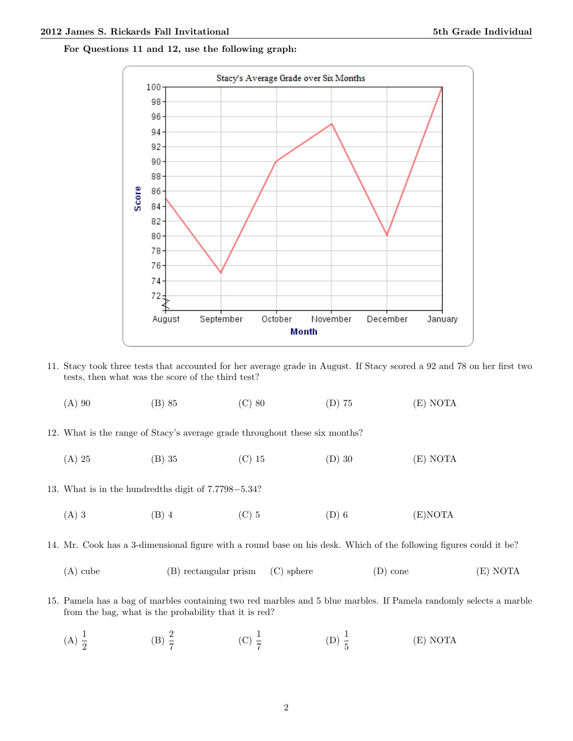For Questions 11 and 12, use the following graph:



11. Stacy took three tests that accounted for her average grade in August. If Stacy scored a 92 and 78 on her first two tests, then what was the score of the third test?

| $(A)$ 90 | $(B)$ 85 | $(C)$ 80 | $(D)$ 75 | (E) NOTA |
|----------|----------|----------|----------|----------|
|          |          |          |          |          |

- 12. What is the range of Stacy's average grade throughout these six months?
	- (A) 25 (B) 35 (C) 15 (D) 30 (E) NOTA
- 13. What is in the hundredths digit of 7.7798−5.34?
	- (A) 3 (B) 4 (C) 5 (D) 6 (E)NOTA

14. Mr. Cook has a 3-dimensional figure with a round base on his desk. Which of the following figures could it be?

- (A) cube (B) rectangular prism (C) sphere (D) cone (E) NOTA
- 15. Pamela has a bag of marbles containing two red marbles and 5 blue marbles. If Pamela randomly selects a marble from the bag, what is the probability that it is red?
	- (A)  $\frac{1}{2}$ (B)  $\frac{2}{7}$  (C)  $\frac{1}{7}$  (D)  $\frac{1}{5}$ (E) NOTA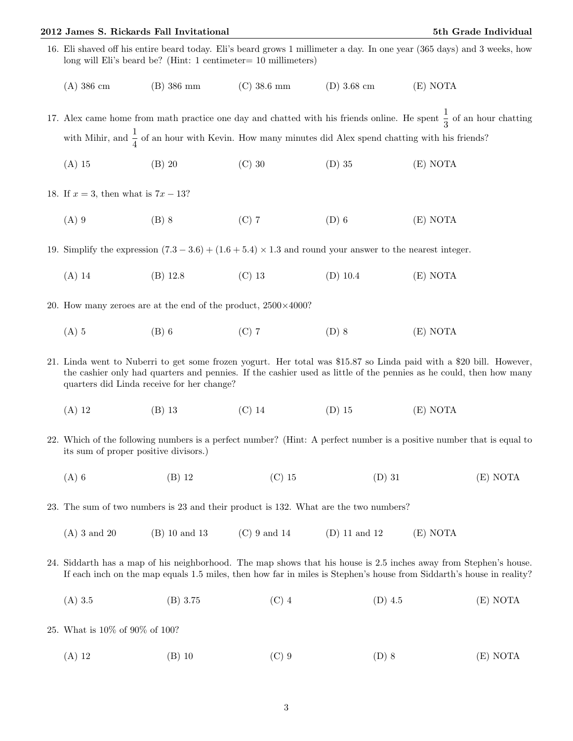## 2012 James S. Rickards Fall Invitational 5th Grade Individual 5th Grade Individual

- 16. Eli shaved off his entire beard today. Eli's beard grows 1 millimeter a day. In one year (365 days) and 3 weeks, how long will Eli's beard be? (Hint: 1 centimeter= 10 millimeters)
	- (A) 386 cm (B) 386 mm (C) 38.6 mm (D) 3.68 cm (E) NOTA

17. Alex came home from math practice one day and chatted with his friends online. He spent  $\frac{1}{3}$  of an hour chatting with Mihir, and  $\frac{1}{4}$  of an hour with Kevin. How many minutes did Alex spend chatting with his friends?

(A) 15 (B) 20 (C) 30 (D) 35 (E) NOTA

18. If  $x = 3$ , then what is  $7x - 13$ ?

(A) 9 (B) 8 (C) 7 (D) 6 (E) NOTA

19. Simplify the expression  $(7.3 - 3.6) + (1.6 + 5.4) \times 1.3$  and round your answer to the nearest integer.

- (A) 14 (B) 12.8 (C) 13 (D) 10.4 (E) NOTA
- 20. How many zeroes are at the end of the product,  $2500\times4000$ ?
	- (A) 5 (B) 6 (C) 7 (D) 8 (E) NOTA
- 21. Linda went to Nuberri to get some frozen yogurt. Her total was \$15.87 so Linda paid with a \$20 bill. However, the cashier only had quarters and pennies. If the cashier used as little of the pennies as he could, then how many quarters did Linda receive for her change?
	- (A) 12 (B) 13 (C) 14 (D) 15 (E) NOTA
- 22. Which of the following numbers is a perfect number? (Hint: A perfect number is a positive number that is equal to its sum of proper positive divisors.)
	- (A) 6 (B) 12 (C) 15 (D) 31 (E) NOTA
- 23. The sum of two numbers is 23 and their product is 132. What are the two numbers?
	- (A) 3 and 20 (B) 10 and 13 (C) 9 and 14 (D) 11 and 12 (E) NOTA
- 24. Siddarth has a map of his neighborhood. The map shows that his house is 2.5 inches away from Stephen's house. If each inch on the map equals 1.5 miles, then how far in miles is Stephen's house from Siddarth's house in reality?
	- (A) 3.5 (B) 3.75 (C) 4 (D) 4.5 (E) NOTA
- 25. What is 10% of 90% of 100?
	- (A) 12 (B) 10 (C) 9 (D) 8 (E) NOTA